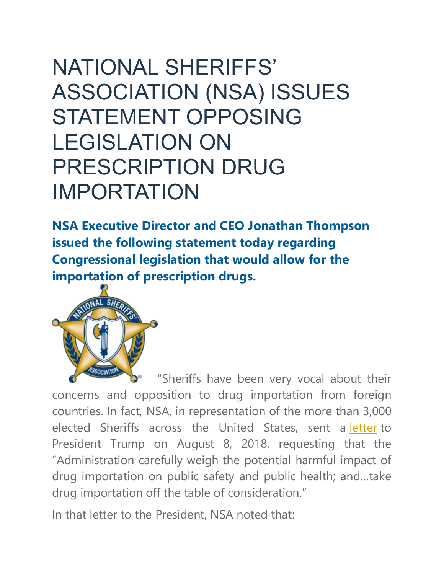## NATIONAL SHERIFFS' ASSOCIATION (NSA) ISSUES STATEMENT OPPOSING LEGISLATION ON PRESCRIPTION DRUG IMPORTATION

**NSA Executive Director and CEO Jonathan Thompson issued the following statement today regarding Congressional legislation that would allow for the importation of prescription drugs.**



"Sheriffs have been very vocal about their concerns and opposition to drug importation from foreign countries. In fact, NSA, in representation of the more than 3,000 elected Sheriffs across the United States, sent a [letter](https://www.sheriffs.org/sites/default/files/NSA_Letter_Drug_Importation.pdf) to President Trump on August 8, 2018, requesting that the "Administration carefully weigh the potential harmful impact of drug importation on public safety and public health; and…take drug importation off the table of consideration."

In that letter to the President, NSA noted that: